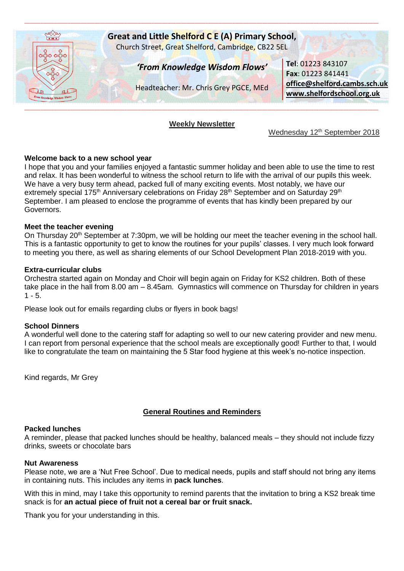

### **Weekly Newsletter**

Wednesday 12<sup>th</sup> September 2018

### **Welcome back to a new school year**

I hope that you and your families enjoyed a fantastic summer holiday and been able to use the time to rest and relax. It has been wonderful to witness the school return to life with the arrival of our pupils this week. We have a very busy term ahead, packed full of many exciting events. Most notably, we have our extremely special 175<sup>th</sup> Anniversary celebrations on Friday 28<sup>th</sup> September and on Saturday 29<sup>th</sup> September. I am pleased to enclose the programme of events that has kindly been prepared by our Governors.

### **Meet the teacher evening**

On Thursday 20<sup>th</sup> September at 7:30pm, we will be holding our meet the teacher evening in the school hall. This is a fantastic opportunity to get to know the routines for your pupils' classes. I very much look forward to meeting you there, as well as sharing elements of our School Development Plan 2018-2019 with you.

### **Extra-curricular clubs**

Orchestra started again on Monday and Choir will begin again on Friday for KS2 children. Both of these take place in the hall from 8.00 am – 8.45am. Gymnastics will commence on Thursday for children in years  $1 - 5.$ 

Please look out for emails regarding clubs or flyers in book bags!

## **School Dinners**

A wonderful well done to the catering staff for adapting so well to our new catering provider and new menu. I can report from personal experience that the school meals are exceptionally good! Further to that, I would like to congratulate the team on maintaining the 5 Star food hygiene at this week's no-notice inspection.

Kind regards, Mr Grey

## **General Routines and Reminders**

#### **Packed lunches**

A reminder, please that packed lunches should be healthy, balanced meals – they should not include fizzy drinks, sweets or chocolate bars

#### **Nut Awareness**

Please note, we are a 'Nut Free School'. Due to medical needs, pupils and staff should not bring any items in containing nuts. This includes any items in **pack lunches**.

With this in mind, may I take this opportunity to remind parents that the invitation to bring a KS2 break time snack is for **an actual piece of fruit not a cereal bar or fruit snack.**

Thank you for your understanding in this.